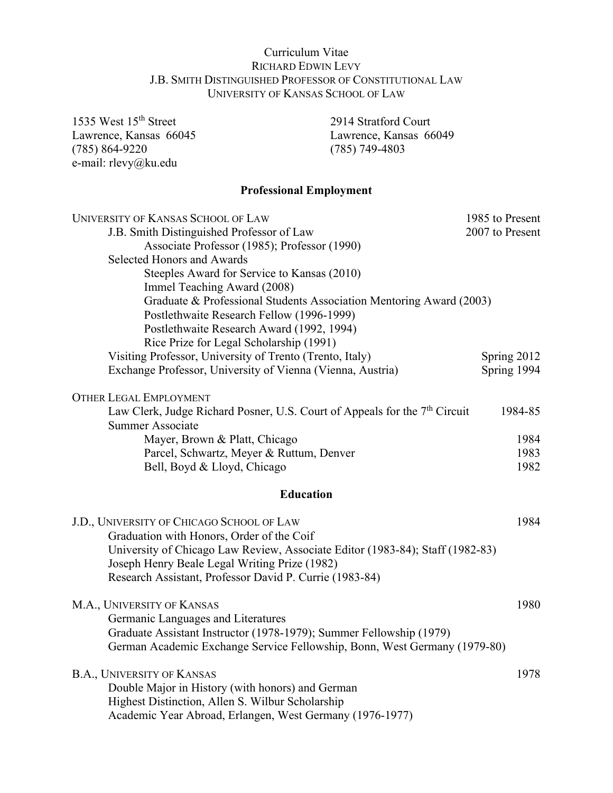## Curriculum Vitae RICHARD EDWIN LEVY J.B. SMITH DISTINGUISHED PROFESSOR OF CONSTITUTIONAL LAW UNIVERSITY OF KANSAS SCHOOL OF LAW

Lawrence, Kansas 66045 1535 West 15<sup>th</sup> Street 2914 Stratford Court Lawrence, Kansas 66045 Lawrence, Kansas 66049<br>
(785) 864-9220 (785) 749-4803 e-mail: [rlevy@ku.edu](mailto:rlevy@ku.edu)

 $(785)$  749-4803

# **Professional Employment**

| UNIVERSITY OF KANSAS SCHOOL OF LAW                                                                                             | 1985 to Present |
|--------------------------------------------------------------------------------------------------------------------------------|-----------------|
| J.B. Smith Distinguished Professor of Law                                                                                      | 2007 to Present |
| Associate Professor (1985); Professor (1990)                                                                                   |                 |
| <b>Selected Honors and Awards</b>                                                                                              |                 |
| Steeples Award for Service to Kansas (2010)                                                                                    |                 |
| Immel Teaching Award (2008)                                                                                                    |                 |
| Graduate & Professional Students Association Mentoring Award (2003)                                                            |                 |
| Postlethwaite Research Fellow (1996-1999)                                                                                      |                 |
| Postlethwaite Research Award (1992, 1994)                                                                                      |                 |
| Rice Prize for Legal Scholarship (1991)                                                                                        |                 |
| Visiting Professor, University of Trento (Trento, Italy)                                                                       | Spring 2012     |
| Exchange Professor, University of Vienna (Vienna, Austria)                                                                     | Spring 1994     |
| <b>OTHER LEGAL EMPLOYMENT</b>                                                                                                  |                 |
| Law Clerk, Judge Richard Posner, U.S. Court of Appeals for the 7 <sup>th</sup> Circuit                                         | 1984-85         |
| Summer Associate                                                                                                               |                 |
| Mayer, Brown & Platt, Chicago                                                                                                  | 1984            |
| Parcel, Schwartz, Meyer & Ruttum, Denver                                                                                       | 1983            |
| Bell, Boyd & Lloyd, Chicago                                                                                                    | 1982            |
| <b>Education</b>                                                                                                               |                 |
| J.D., UNIVERSITY OF CHICAGO SCHOOL OF LAW                                                                                      | 1984            |
| Graduation with Honors, Order of the Coif                                                                                      |                 |
| University of Chicago Law Review, Associate Editor (1983-84); Staff (1982-83)<br>Joseph Henry Beale Legal Writing Prize (1982) |                 |
| Research Assistant, Professor David P. Currie (1983-84)                                                                        |                 |
|                                                                                                                                |                 |
| M.A., UNIVERSITY OF KANSAS                                                                                                     | 1980            |
| Germanic Languages and Literatures                                                                                             |                 |
| Graduate Assistant Instructor (1978-1979); Summer Fellowship (1979)                                                            |                 |
| German Academic Exchange Service Fellowship, Bonn, West Germany (1979-80)                                                      |                 |
| <b>B.A., UNIVERSITY OF KANSAS</b>                                                                                              | 1978            |
| Double Major in History (with honors) and German                                                                               |                 |
| Highest Distinction, Allen S. Wilbur Scholarship                                                                               |                 |
| Academic Year Abroad, Erlangen, West Germany (1976-1977)                                                                       |                 |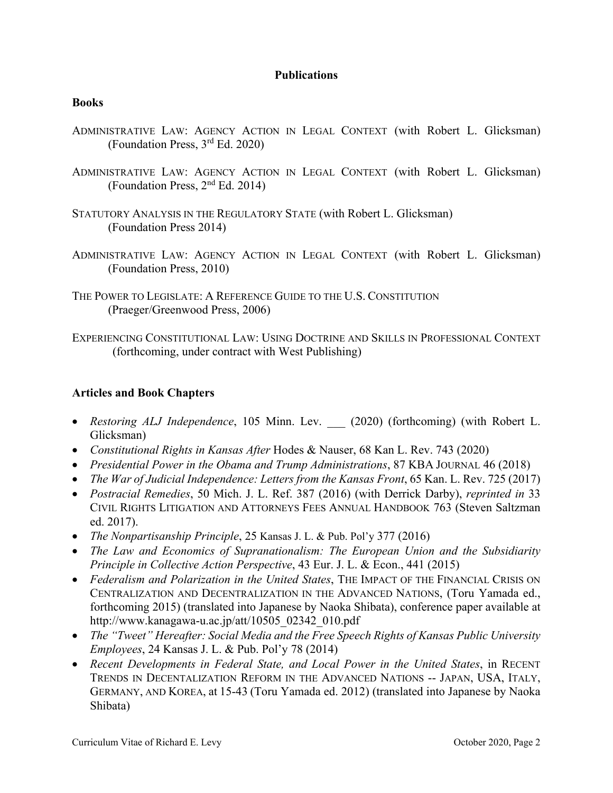#### **Publications**

#### **Books**

- ADMINISTRATIVE LAW: AGENCY ACTION IN LEGAL CONTEXT (with Robert L. Glicksman) (Foundation Press, 3rd Ed. 2020)
- ADMINISTRATIVE LAW: AGENCY ACTION IN LEGAL CONTEXT (with Robert L. Glicksman) (Foundation Press, 2nd Ed. 2014)
- STATUTORY ANALYSIS IN THE REGULATORY STATE (with Robert L. Glicksman) (Foundation Press 2014)
- ADMINISTRATIVE LAW: AGENCY ACTION IN LEGAL CONTEXT (with Robert L. Glicksman) (Foundation Press, 2010)
- THE POWER TO LEGISLATE: A REFERENCE GUIDE TO THE U.S. CONSTITUTION (Praeger/Greenwood Press, 2006)

EXPERIENCING CONSTITUTIONAL LAW: USING DOCTRINE AND SKILLS IN PROFESSIONAL CONTEXT (forthcoming, under contract with West Publishing)

### **Articles and Book Chapters**

- *Restoring ALJ Independence*, 105 Minn. Lev. \_\_\_ (2020) (forthcoming) (with Robert L. Glicksman)
- *Constitutional Rights in Kansas After* Hodes & Nauser, 68 Kan L. Rev. 743 (2020)
- *Presidential Power in the Obama and Trump Administrations*, 87 KBA JOURNAL 46 (2018)
- *The War of Judicial Independence: Letters from the Kansas Front*, 65 Kan. L. Rev. 725 (2017)
- *Postracial Remedies*, 50 Mich. J. L. Ref. 387 (2016) (with Derrick Darby), *reprinted in* 33 CIVIL RIGHTS LITIGATION AND ATTORNEYS FEES ANNUAL HANDBOOK 763 (Steven Saltzman ed. 2017).
- *The Nonpartisanship Principle*, 25 Kansas J. L. & Pub. Pol'y 377 (2016)
- *The Law and Economics of Supranationalism: The European Union and the Subsidiarity Principle in Collective Action Perspective*, 43 Eur. J. L. & Econ., 441 (2015)
- *Federalism and Polarization in the United States*, THE IMPACT OF THE FINANCIAL CRISIS ON CENTRALIZATION AND DECENTRALIZATION IN THE ADVANCED NATIONS, (Toru Yamada ed., forthcoming 2015) (translated into Japanese by Naoka Shibata), conference paper available at [http://www.kanagawa-u.ac.jp/att/10505\\_02342\\_010.pdf](http://www.kanagawa-u.ac.jp/att/10505_02342_010.pdf)
- *The "Tweet" Hereafter: Social Media and the Free Speech Rights of Kansas Public University Employees*, 24 Kansas J. L. & Pub. Pol'y 78 (2014)
- TRENDS IN DECENTALIZATION REFORM IN THE ADVANCED NATIONS -- JAPAN, USA, ITALY, GERMANY, AND KOREA, at 15-43 (Toru Yamada ed. 2012) (translated into Japanese by Naoka *Recent Developments in Federal State, and Local Power in the United States*, in RECENT Shibata)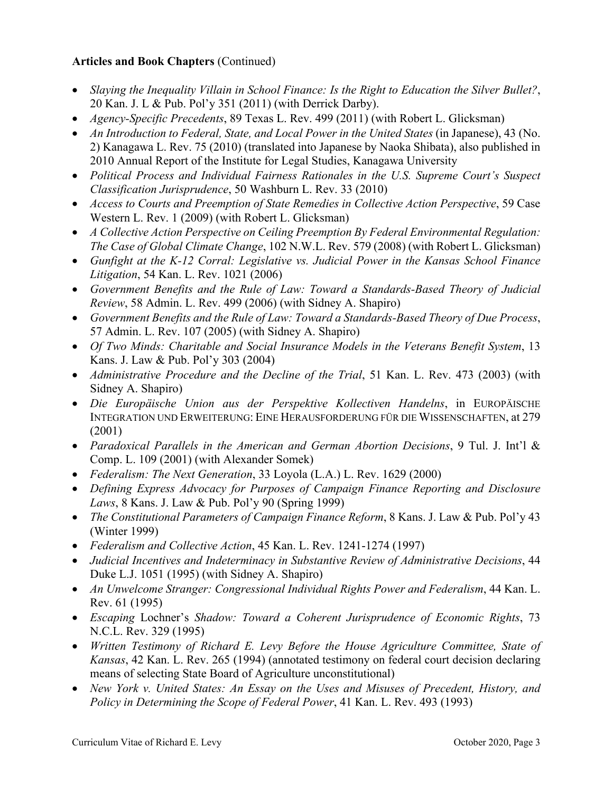## **Articles and Book Chapters** (Continued)

- *Slaying the Inequality Villain in School Finance: Is the Right to Education the Silver Bullet?*, 20 Kan. J. L & Pub. Pol'y 351 (2011) (with Derrick Darby).
- *Agency-Specific Precedents*, 89 Texas L. Rev. 499 (2011) (with Robert L. Glicksman)
- *An Introduction to Federal, State, and Local Power in the United States* (in Japanese), 43 (No. 2) Kanagawa L. Rev. 75 (2010) (translated into Japanese by Naoka Shibata), also published in 2010 Annual Report of the Institute for Legal Studies, Kanagawa University
- *Political Process and Individual Fairness Rationales in the U.S. Supreme Court's Suspect Classification Jurisprudence*, 50 Washburn L. Rev. 33 (2010)
- *Access to Courts and Preemption of State Remedies in Collective Action Perspective*, 59 Case Western L. Rev. 1 (2009) (with Robert L. Glicksman)
- *A Collective Action Perspective on Ceiling Preemption By Federal Environmental Regulation: The Case of Global Climate Change*, 102 N.W.L. Rev. 579 (2008) (with Robert L. Glicksman)
- *Gunfight at the K-12 Corral: Legislative vs. Judicial Power in the Kansas School Finance Litigation*, 54 Kan. L. Rev. 1021 (2006)
- *Government Benefits and the Rule of Law: Toward a Standards-Based Theory of Judicial Review*, 58 Admin. L. Rev. 499 (2006) (with Sidney A. Shapiro)
- *Government Benefits and the Rule of Law: Toward a Standards-Based Theory of Due Process*, 57 Admin. L. Rev. 107 (2005) (with Sidney A. Shapiro)
- *Of Two Minds: Charitable and Social Insurance Models in the Veterans Benefit System*, 13 Kans. J. Law & Pub. Pol'y 303 (2004)
- *Administrative Procedure and the Decline of the Trial*, 51 Kan. L. Rev. 473 (2003) (with Sidney A. Shapiro)
- *Die Europäische Union aus der Perspektive Kollectiven Handelns*, in EUROPÄISCHE INTEGRATION UND ERWEITERUNG: EINE HERAUSFORDERUNG FÜR DIE WISSENSCHAFTEN, at 279 (2001)
- *Paradoxical Parallels in the American and German Abortion Decisions*, 9 Tul. J. Int'l & Comp. L. 109 (2001) (with Alexander Somek)
- *Federalism: The Next Generation*, 33 Loyola (L.A.) L. Rev. 1629 (2000)
- *Defining Express Advocacy for Purposes of Campaign Finance Reporting and Disclosure Laws*, 8 Kans. J. Law & Pub. Pol'y 90 (Spring 1999)
- *The Constitutional Parameters of Campaign Finance Reform*, 8 Kans. J. Law & Pub. Pol'y 43 (Winter 1999)
- *Federalism and Collective Action*, 45 Kan. L. Rev. 1241-1274 (1997)
- *Judicial Incentives and Indeterminacy in Substantive Review of Administrative Decisions*, 44 Duke L.J. 1051 (1995) (with Sidney A. Shapiro)
- *An Unwelcome Stranger: Congressional Individual Rights Power and Federalism*, 44 Kan. L. Rev. 61 (1995)
- *Escaping* Lochner's *Shadow: Toward a Coherent Jurisprudence of Economic Rights*, 73 N.C.L. Rev. 329 (1995)
- *Written Testimony of Richard E. Levy Before the House Agriculture Committee, State of Kansas*, 42 Kan. L. Rev. 265 (1994) (annotated testimony on federal court decision declaring means of selecting State Board of Agriculture unconstitutional)
- *New York v. United States: An Essay on the Uses and Misuses of Precedent, History, and Policy in Determining the Scope of Federal Power*, 41 Kan. L. Rev. 493 (1993)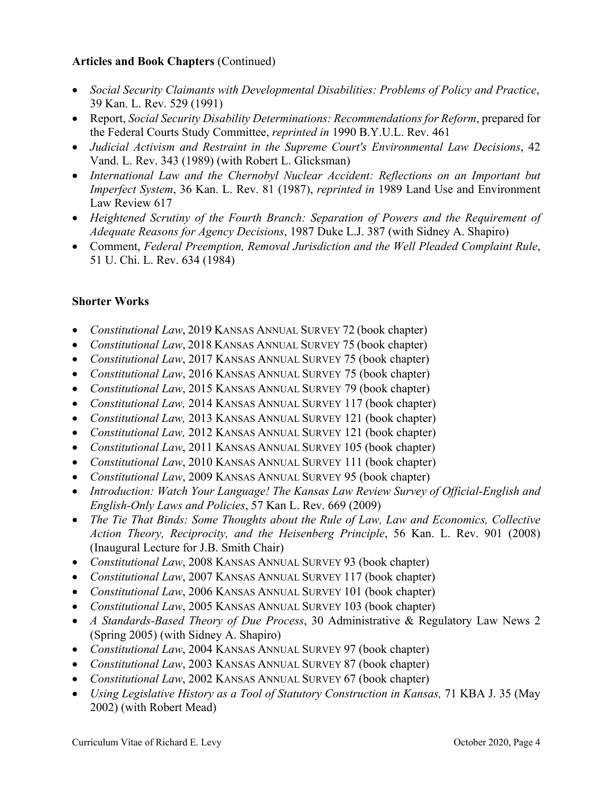## **Articles and Book Chapters** (Continued)

- *Social Security Claimants with Developmental Disabilities: Problems of Policy and Practice*, 39 Kan. L. Rev. 529 (1991)
- Report, *Social Security Disability Determinations: Recommendations for Reform*, prepared for the Federal Courts Study Committee, *reprinted in* 1990 B.Y.U.L. Rev. 461
- *Judicial Activism and Restraint in the Supreme Court's Environmental Law Decisions*, 42 Vand. L. Rev. 343 (1989) (with Robert L. Glicksman)
- *International Law and the Chernobyl Nuclear Accident: Reflections on an Important but Imperfect System*, 36 Kan. L. Rev. 81 (1987), *reprinted in* 1989 Land Use and Environment Law Review 617
- *Heightened Scrutiny of the Fourth Branch: Separation of Powers and the Requirement of Adequate Reasons for Agency Decisions*, 1987 Duke L.J. 387 (with Sidney A. Shapiro)
- Comment, *Federal Preemption, Removal Jurisdiction and the Well Pleaded Complaint Rule*, 51 U. Chi. L. Rev. 634 (1984)

## **Shorter Works**

- *Constitutional Law*, 2019 KANSAS ANNUAL SURVEY 72 (book chapter)
- *Constitutional Law*, 2018 KANSAS ANNUAL SURVEY 75 (book chapter)
- *Constitutional Law*, 2017 KANSAS ANNUAL SURVEY 75 (book chapter)
- *Constitutional Law*, 2016 KANSAS ANNUAL SURVEY 75 (book chapter)
- *Constitutional Law*, 2015 KANSAS ANNUAL SURVEY 79 (book chapter)
- *Constitutional Law,* 2014 KANSAS ANNUAL SURVEY 117 (book chapter)
- *Constitutional Law,* 2013 KANSAS ANNUAL SURVEY 121 (book chapter)
- *Constitutional Law,* 2012 KANSAS ANNUAL SURVEY 121 (book chapter)
- *Constitutional Law*, 2011 KANSAS ANNUAL SURVEY 105 (book chapter)
- *Constitutional Law*, 2010 KANSAS ANNUAL SURVEY 111 (book chapter)
- *Constitutional Law*, 2009 KANSAS ANNUAL SURVEY 95 (book chapter)
- *Introduction: Watch Your Language! The Kansas Law Review Survey of Official-English and English-Only Laws and Policies*, 57 Kan L. Rev. 669 (2009)
- *The Tie That Binds: Some Thoughts about the Rule of Law, Law and Economics, Collective Action Theory, Reciprocity, and the Heisenberg Principle*, 56 Kan. L. Rev. 901 (2008) (Inaugural Lecture for J.B. Smith Chair)
- *Constitutional Law*, 2008 KANSAS ANNUAL SURVEY 93 (book chapter)
- *Constitutional Law*, 2007 KANSAS ANNUAL SURVEY 117 (book chapter)
- *Constitutional Law*, 2006 KANSAS ANNUAL SURVEY 101 (book chapter)
- *Constitutional Law*, 2005 KANSAS ANNUAL SURVEY 103 (book chapter)
- *A Standards-Based Theory of Due Process*, 30 Administrative & Regulatory Law News 2 (Spring 2005) (with Sidney A. Shapiro)
- *Constitutional Law*, 2004 KANSAS ANNUAL SURVEY 97 (book chapter)
- *Constitutional Law*, 2003 KANSAS ANNUAL SURVEY 87 (book chapter)
- *Constitutional Law*, 2002 KANSAS ANNUAL SURVEY 67 (book chapter)
- *Using Legislative History as a Tool of Statutory Construction in Kansas,* 71 KBA J. 35 (May 2002) (with Robert Mead)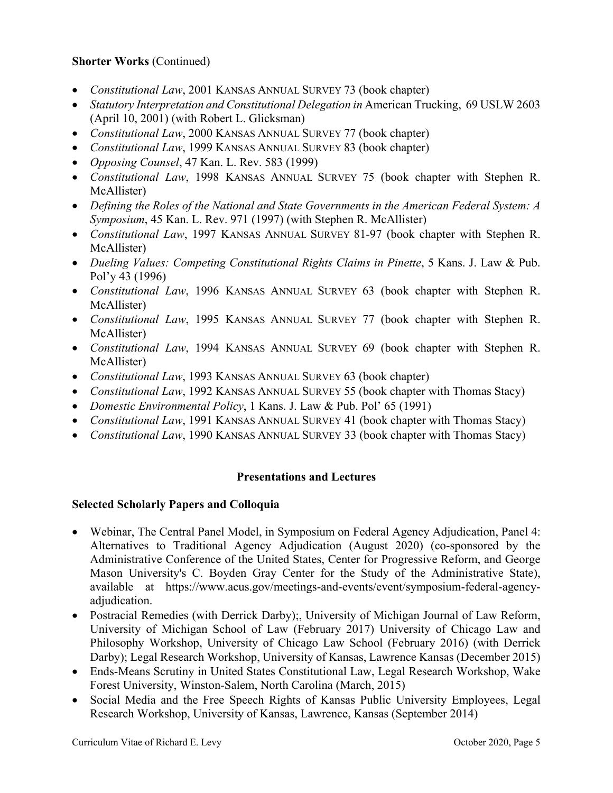## **Shorter Works** (Continued)

- *Constitutional Law*, 2001 KANSAS ANNUAL SURVEY 73 (book chapter)
- Statutory Interpretation and Constitutional Delegation in American Trucking, 69 USLW 2603 (April 10, 2001) (with Robert L. Glicksman)
- *Constitutional Law*, 2000 KANSAS ANNUAL SURVEY 77 (book chapter)
- *Constitutional Law*, 1999 KANSAS ANNUAL SURVEY 83 (book chapter)
- *Opposing Counsel*, 47 Kan. L. Rev. 583 (1999)
- *Constitutional Law*, 1998 KANSAS ANNUAL SURVEY 75 (book chapter with Stephen R. McAllister)
- *Defining the Roles of the National and State Governments in the American Federal System: A Symposium*, 45 Kan. L. Rev. 971 (1997) (with Stephen R. McAllister)
- *Constitutional Law*, 1997 KANSAS ANNUAL SURVEY 81-97 (book chapter with Stephen R. McAllister)
- *Dueling Values: Competing Constitutional Rights Claims in Pinette*, 5 Kans. J. Law & Pub. Pol'y 43 (1996)
- *Constitutional Law*, 1996 KANSAS ANNUAL SURVEY 63 (book chapter with Stephen R. McAllister)
- *Constitutional Law*, 1995 KANSAS ANNUAL SURVEY 77 (book chapter with Stephen R. McAllister)
- *Constitutional Law*, 1994 KANSAS ANNUAL SURVEY 69 (book chapter with Stephen R. McAllister)
- *Constitutional Law*, 1993 KANSAS ANNUAL SURVEY 63 (book chapter)
- *Constitutional Law*, 1992 KANSAS ANNUAL SURVEY 55 (book chapter with Thomas Stacy)
- *Domestic Environmental Policy*, 1 Kans. J. Law & Pub. Pol' 65 (1991)
- *Constitutional Law*, 1991 KANSAS ANNUAL SURVEY 41 (book chapter with Thomas Stacy)
- *Constitutional Law*, 1990 KANSAS ANNUAL SURVEY 33 (book chapter with Thomas Stacy)

# **Presentations and Lectures**

# **Selected Scholarly Papers and Colloquia**

- Webinar, The Central Panel Model, in Symposium on Federal Agency Adjudication, Panel 4: Alternatives to Traditional Agency Adjudication (August 2020) (co-sponsored by the Administrative Conference of the United States, Center for Progressive Reform, and George Mason University's C. Boyden Gray Center for the Study of the Administrative State), available at <https://www.acus.gov/meetings-and-events/event/symposium-federal-agency>adjudication.
- Postracial Remedies (with Derrick Darby);, University of Michigan Journal of Law Reform, University of Michigan School of Law (February 2017) University of Chicago Law and Philosophy Workshop, University of Chicago Law School (February 2016) (with Derrick Darby); Legal Research Workshop, University of Kansas, Lawrence Kansas (December 2015)
- Ends-Means Scrutiny in United States Constitutional Law, Legal Research Workshop, Wake Forest University, Winston-Salem, North Carolina (March, 2015)
- Social Media and the Free Speech Rights of Kansas Public University Employees, Legal Research Workshop, University of Kansas, Lawrence, Kansas (September 2014)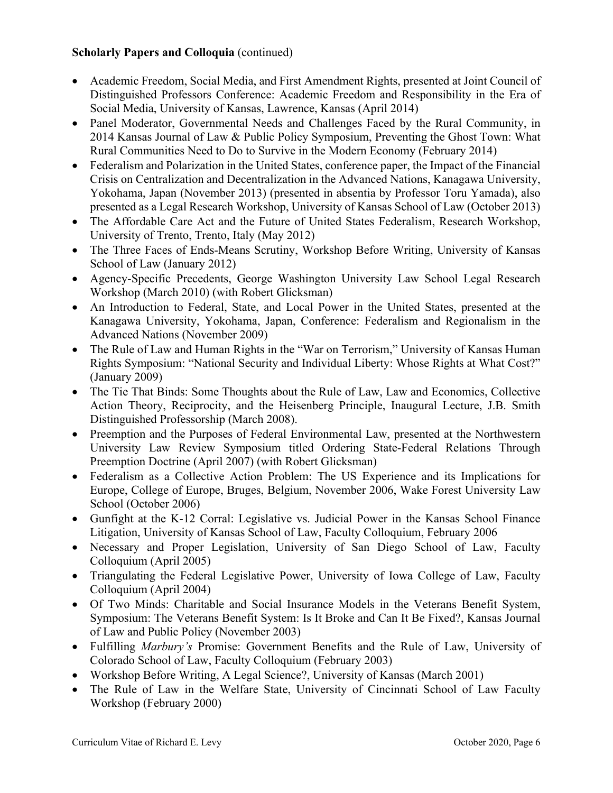## **Scholarly Papers and Colloquia** (continued)

- Academic Freedom, Social Media, and First Amendment Rights, presented at Joint Council of Distinguished Professors Conference: Academic Freedom and Responsibility in the Era of Social Media, University of Kansas, Lawrence, Kansas (April 2014)
- Panel Moderator, Governmental Needs and Challenges Faced by the Rural Community, in 2014 Kansas Journal of Law & Public Policy Symposium, Preventing the Ghost Town: What Rural Communities Need to Do to Survive in the Modern Economy (February 2014)
- Federalism and Polarization in the United States, conference paper, the Impact of the Financial Crisis on Centralization and Decentralization in the Advanced Nations, Kanagawa University, Yokohama, Japan (November 2013) (presented in absentia by Professor Toru Yamada), also presented as a Legal Research Workshop, University of Kansas School of Law (October 2013)
- The Affordable Care Act and the Future of United States Federalism, Research Workshop, University of Trento, Trento, Italy (May 2012)
- The Three Faces of Ends-Means Scrutiny, Workshop Before Writing, University of Kansas School of Law (January 2012)
- Agency-Specific Precedents, George Washington University Law School Legal Research Workshop (March 2010) (with Robert Glicksman)
- An Introduction to Federal, State, and Local Power in the United States, presented at the Kanagawa University, Yokohama, Japan, Conference: Federalism and Regionalism in the Advanced Nations (November 2009)
- The Rule of Law and Human Rights in the "War on Terrorism," University of Kansas Human Rights Symposium: "National Security and Individual Liberty: Whose Rights at What Cost?" (January 2009)
- The Tie That Binds: Some Thoughts about the Rule of Law, Law and Economics, Collective Action Theory, Reciprocity, and the Heisenberg Principle, Inaugural Lecture, J.B. Smith Distinguished Professorship (March 2008).
- Preemption and the Purposes of Federal Environmental Law, presented at the Northwestern University Law Review Symposium titled Ordering State-Federal Relations Through Preemption Doctrine (April 2007) (with Robert Glicksman)
- Federalism as a Collective Action Problem: The US Experience and its Implications for Europe, College of Europe, Bruges, Belgium, November 2006, Wake Forest University Law School (October 2006)
- Gunfight at the K-12 Corral: Legislative vs. Judicial Power in the Kansas School Finance Litigation, University of Kansas School of Law, Faculty Colloquium, February 2006
- Necessary and Proper Legislation, University of San Diego School of Law, Faculty Colloquium (April 2005)
- Triangulating the Federal Legislative Power, University of Iowa College of Law, Faculty Colloquium (April 2004)
- Of Two Minds: Charitable and Social Insurance Models in the Veterans Benefit System, Symposium: The Veterans Benefit System: Is It Broke and Can It Be Fixed?, Kansas Journal of Law and Public Policy (November 2003)
- Fulfilling *Marbury's* Promise: Government Benefits and the Rule of Law, University of Colorado School of Law, Faculty Colloquium (February 2003)
- Workshop Before Writing, A Legal Science?, University of Kansas (March 2001)
- The Rule of Law in the Welfare State, University of Cincinnati School of Law Faculty Workshop (February 2000)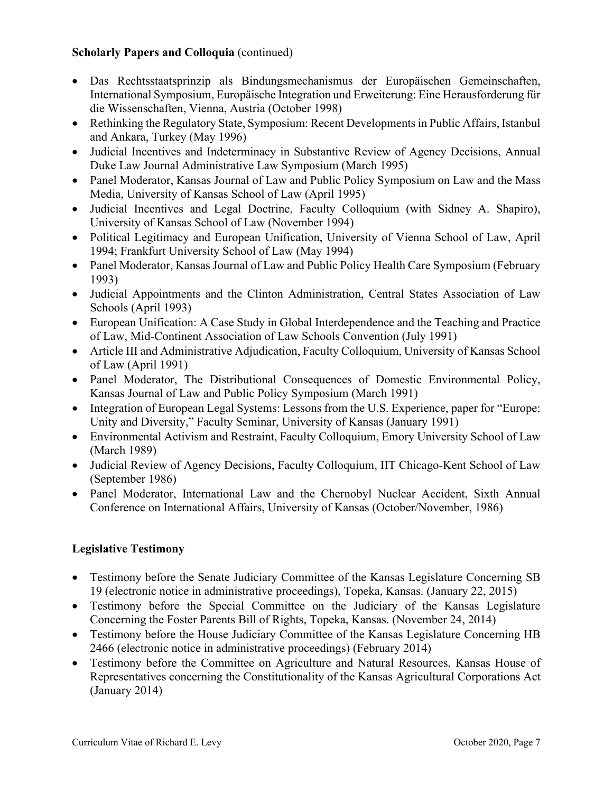## **Scholarly Papers and Colloquia** (continued)

- Das Rechtsstaatsprinzip als Bindungsmechanismus der Europäischen Gemeinschaften, International Symposium, Europäische Integration und Erweiterung: Eine Herausforderung für die Wissenschaften, Vienna, Austria (October 1998)
- Rethinking the Regulatory State, Symposium: Recent Developments in Public Affairs, Istanbul and Ankara, Turkey (May 1996)
- Judicial Incentives and Indeterminacy in Substantive Review of Agency Decisions, Annual Duke Law Journal Administrative Law Symposium (March 1995)
- Panel Moderator, Kansas Journal of Law and Public Policy Symposium on Law and the Mass Media, University of Kansas School of Law (April 1995)
- Judicial Incentives and Legal Doctrine, Faculty Colloquium (with Sidney A. Shapiro), University of Kansas School of Law (November 1994)
- Political Legitimacy and European Unification, University of Vienna School of Law, April 1994; Frankfurt University School of Law (May 1994)
- Panel Moderator, Kansas Journal of Law and Public Policy Health Care Symposium (February 1993)
- Judicial Appointments and the Clinton Administration, Central States Association of Law Schools (April 1993)
- European Unification: A Case Study in Global Interdependence and the Teaching and Practice of Law, Mid-Continent Association of Law Schools Convention (July 1991)
- Article III and Administrative Adjudication, Faculty Colloquium, University of Kansas School of Law (April 1991)
- Panel Moderator, The Distributional Consequences of Domestic Environmental Policy, Kansas Journal of Law and Public Policy Symposium (March 1991)
- Integration of European Legal Systems: Lessons from the U.S. Experience, paper for "Europe: Unity and Diversity," Faculty Seminar, University of Kansas (January 1991)
- Environmental Activism and Restraint, Faculty Colloquium, Emory University School of Law (March 1989)
- Judicial Review of Agency Decisions, Faculty Colloquium, IIT Chicago-Kent School of Law (September 1986)
- Panel Moderator, International Law and the Chernobyl Nuclear Accident, Sixth Annual Conference on International Affairs, University of Kansas (October/November, 1986)

# **Legislative Testimony**

- Testimony before the Senate Judiciary Committee of the Kansas Legislature Concerning SB 19 (electronic notice in administrative proceedings), Topeka, Kansas. (January 22, 2015)
- Testimony before the Special Committee on the Judiciary of the Kansas Legislature Concerning the Foster Parents Bill of Rights, Topeka, Kansas. (November 24, 2014)
- Testimony before the House Judiciary Committee of the Kansas Legislature Concerning HB 2466 (electronic notice in administrative proceedings) (February 2014)
- Testimony before the Committee on Agriculture and Natural Resources, Kansas House of Representatives concerning the Constitutionality of the Kansas Agricultural Corporations Act (January 2014)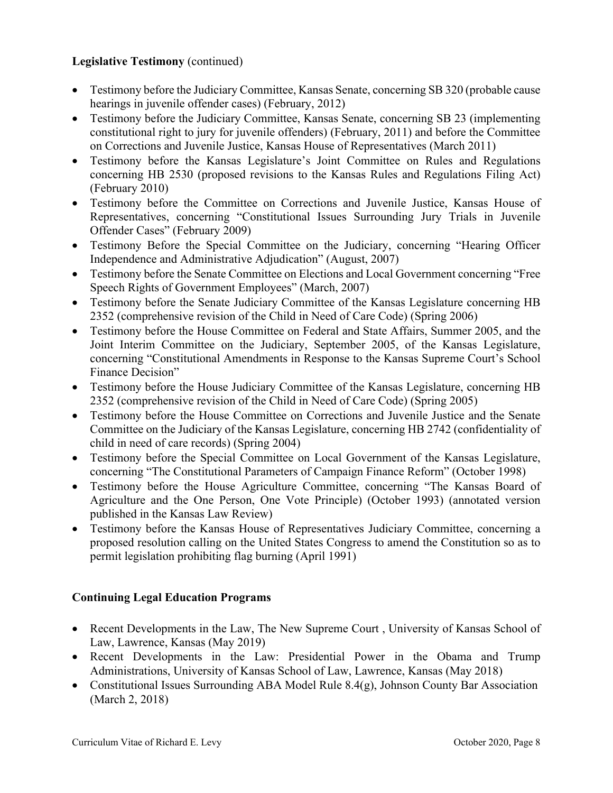## **Legislative Testimony** (continued)

- Testimony before the Judiciary Committee, Kansas Senate, concerning SB 320 (probable cause hearings in juvenile offender cases) (February, 2012)
- Testimony before the Judiciary Committee, Kansas Senate, concerning SB 23 (implementing constitutional right to jury for juvenile offenders) (February, 2011) and before the Committee on Corrections and Juvenile Justice, Kansas House of Representatives (March 2011)
- Testimony before the Kansas Legislature's Joint Committee on Rules and Regulations concerning HB 2530 (proposed revisions to the Kansas Rules and Regulations Filing Act) (February 2010)
- Testimony before the Committee on Corrections and Juvenile Justice, Kansas House of Representatives, concerning "Constitutional Issues Surrounding Jury Trials in Juvenile Offender Cases" (February 2009)
- Testimony Before the Special Committee on the Judiciary, concerning "Hearing Officer Independence and Administrative Adjudication" (August, 2007)
- Testimony before the Senate Committee on Elections and Local Government concerning "Free Speech Rights of Government Employees" (March, 2007)
- Testimony before the Senate Judiciary Committee of the Kansas Legislature concerning HB 2352 (comprehensive revision of the Child in Need of Care Code) (Spring 2006)
- Testimony before the House Committee on Federal and State Affairs, Summer 2005, and the Joint Interim Committee on the Judiciary, September 2005, of the Kansas Legislature, concerning "Constitutional Amendments in Response to the Kansas Supreme Court's School Finance Decision"
- Testimony before the House Judiciary Committee of the Kansas Legislature, concerning HB 2352 (comprehensive revision of the Child in Need of Care Code) (Spring 2005)
- Testimony before the House Committee on Corrections and Juvenile Justice and the Senate Committee on the Judiciary of the Kansas Legislature, concerning HB 2742 (confidentiality of child in need of care records) (Spring 2004)
- Testimony before the Special Committee on Local Government of the Kansas Legislature, concerning "The Constitutional Parameters of Campaign Finance Reform" (October 1998)
- Testimony before the House Agriculture Committee, concerning "The Kansas Board of Agriculture and the One Person, One Vote Principle) (October 1993) (annotated version published in the Kansas Law Review)
- Testimony before the Kansas House of Representatives Judiciary Committee, concerning a proposed resolution calling on the United States Congress to amend the Constitution so as to permit legislation prohibiting flag burning (April 1991)

# **Continuing Legal Education Programs**

- Recent Developments in the Law, The New Supreme Court, University of Kansas School of Law, Lawrence, Kansas (May 2019)
- Recent Developments in the Law: Presidential Power in the Obama and Trump Administrations, University of Kansas School of Law, Lawrence, Kansas (May 2018)
- Constitutional Issues Surrounding ABA Model Rule 8.4(g), Johnson County Bar Association (March 2, 2018)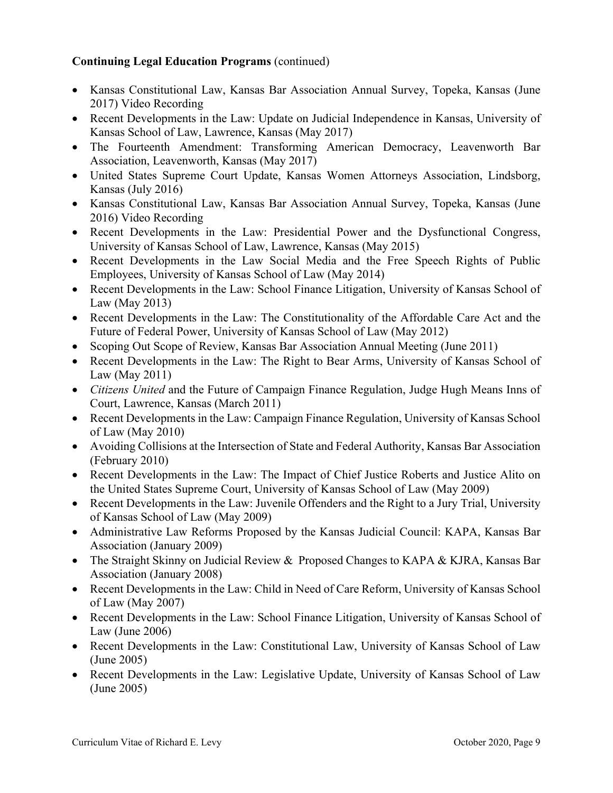# **Continuing Legal Education Programs** (continued)

- Kansas Constitutional Law, Kansas Bar Association Annual Survey, Topeka, Kansas (June 2017) Video Recording
- Recent Developments in the Law: Update on Judicial Independence in Kansas, University of Kansas School of Law, Lawrence, Kansas (May 2017)
- The Fourteenth Amendment: Transforming American Democracy, Leavenworth Bar Association, Leavenworth, Kansas (May 2017)
- United States Supreme Court Update, Kansas Women Attorneys Association, Lindsborg, Kansas (July 2016)
- Kansas Constitutional Law, Kansas Bar Association Annual Survey, Topeka, Kansas (June 2016) Video Recording
- Recent Developments in the Law: Presidential Power and the Dysfunctional Congress, University of Kansas School of Law, Lawrence, Kansas (May 2015)
- Recent Developments in the Law Social Media and the Free Speech Rights of Public Employees, University of Kansas School of Law (May 2014)
- Recent Developments in the Law: School Finance Litigation, University of Kansas School of Law (May 2013)
- Recent Developments in the Law: The Constitutionality of the Affordable Care Act and the Future of Federal Power, University of Kansas School of Law (May 2012)
- Scoping Out Scope of Review, Kansas Bar Association Annual Meeting (June 2011)
- Recent Developments in the Law: The Right to Bear Arms, University of Kansas School of Law (May 2011)
- *Citizens United* and the Future of Campaign Finance Regulation, Judge Hugh Means Inns of Court, Lawrence, Kansas (March 2011)
- Recent Developments in the Law: Campaign Finance Regulation, University of Kansas School of Law (May 2010)
- Avoiding Collisions at the Intersection of State and Federal Authority, Kansas Bar Association (February 2010)
- Recent Developments in the Law: The Impact of Chief Justice Roberts and Justice Alito on the United States Supreme Court, University of Kansas School of Law (May 2009)
- Recent Developments in the Law: Juvenile Offenders and the Right to a Jury Trial, University of Kansas School of Law (May 2009)
- Administrative Law Reforms Proposed by the Kansas Judicial Council: KAPA, Kansas Bar Association (January 2009)
- The Straight Skinny on Judicial Review & Proposed Changes to KAPA & KJRA, Kansas Bar Association (January 2008)
- Recent Developments in the Law: Child in Need of Care Reform, University of Kansas School of Law (May 2007)
- Recent Developments in the Law: School Finance Litigation, University of Kansas School of Law (June 2006)
- Recent Developments in the Law: Constitutional Law, University of Kansas School of Law (June 2005)
- Recent Developments in the Law: Legislative Update, University of Kansas School of Law (June 2005)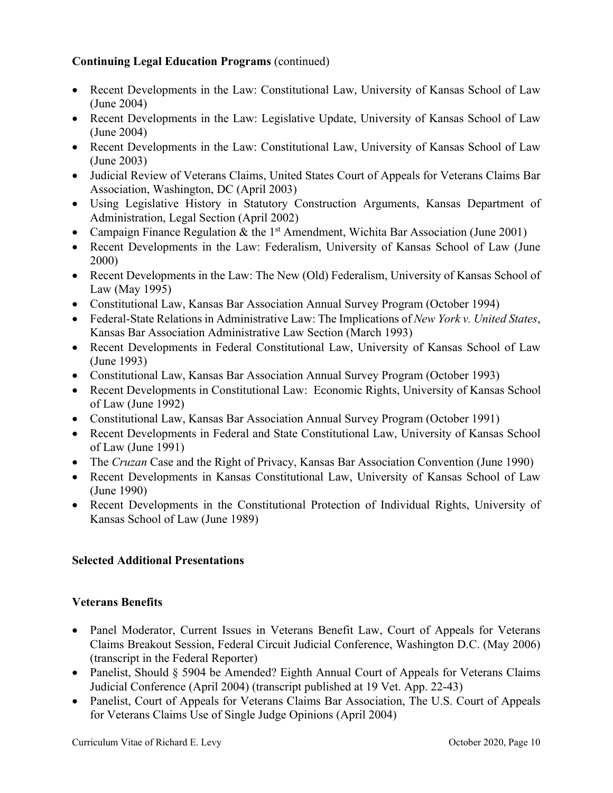# **Continuing Legal Education Programs** (continued)

- Recent Developments in the Law: Constitutional Law, University of Kansas School of Law (June 2004)
- Recent Developments in the Law: Legislative Update, University of Kansas School of Law (June 2004)
- Recent Developments in the Law: Constitutional Law, University of Kansas School of Law (June 2003)
- Judicial Review of Veterans Claims, United States Court of Appeals for Veterans Claims Bar Association, Washington, DC (April 2003)
- Using Legislative History in Statutory Construction Arguments, Kansas Department of Administration, Legal Section (April 2002)
- Campaign Finance Regulation & the 1<sup>st</sup> Amendment, Wichita Bar Association (June 2001)
- Recent Developments in the Law: Federalism, University of Kansas School of Law (June 2000)
- Recent Developments in the Law: The New (Old) Federalism, University of Kansas School of Law (May 1995)
- Constitutional Law, Kansas Bar Association Annual Survey Program (October 1994)
- Federal-State Relations in Administrative Law: The Implications of *New York v. United States*, Kansas Bar Association Administrative Law Section (March 1993)
- Recent Developments in Federal Constitutional Law, University of Kansas School of Law (June 1993)
- Constitutional Law, Kansas Bar Association Annual Survey Program (October 1993)
- Recent Developments in Constitutional Law: Economic Rights, University of Kansas School of Law (June 1992)
- Constitutional Law, Kansas Bar Association Annual Survey Program (October 1991)
- Recent Developments in Federal and State Constitutional Law, University of Kansas School of Law (June 1991)
- The *Cruzan* Case and the Right of Privacy, Kansas Bar Association Convention (June 1990)
- Recent Developments in Kansas Constitutional Law, University of Kansas School of Law (June 1990)
- Recent Developments in the Constitutional Protection of Individual Rights, University of Kansas School of Law (June 1989)

# **Selected Additional Presentations**

# **Veterans Benefits**

- Panel Moderator, Current Issues in Veterans Benefit Law, Court of Appeals for Veterans Claims Breakout Session, Federal Circuit Judicial Conference, Washington D.C. (May 2006) (transcript in the Federal Reporter)
- Panelist, Should § 5904 be Amended? Eighth Annual Court of Appeals for Veterans Claims Judicial Conference (April 2004) (transcript published at 19 Vet. App. 22-43)
- Panelist, Court of Appeals for Veterans Claims Bar Association, The U.S. Court of Appeals for Veterans Claims Use of Single Judge Opinions (April 2004)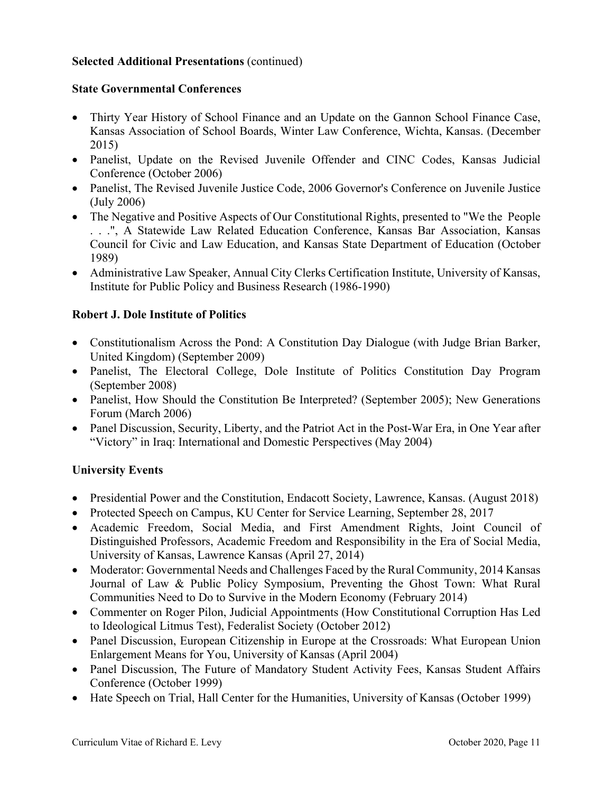## **Selected Additional Presentations** (continued)

### **State Governmental Conferences**

- Thirty Year History of School Finance and an Update on the Gannon School Finance Case, Kansas Association of School Boards, Winter Law Conference, Wichta, Kansas. (December 2015)
- Panelist, Update on the Revised Juvenile Offender and CINC Codes, Kansas Judicial Conference (October 2006)
- Panelist, The Revised Juvenile Justice Code, 2006 Governor's Conference on Juvenile Justice (July 2006)
- The Negative and Positive Aspects of Our Constitutional Rights, presented to "We the People . . .", A Statewide Law Related Education Conference, Kansas Bar Association, Kansas Council for Civic and Law Education, and Kansas State Department of Education (October 1989)
- Administrative Law Speaker, Annual City Clerks Certification Institute, University of Kansas, Institute for Public Policy and Business Research (1986-1990)

### **Robert J. Dole Institute of Politics**

- Constitutionalism Across the Pond: A Constitution Day Dialogue (with Judge Brian Barker, United Kingdom) (September 2009)
- Panelist, The Electoral College, Dole Institute of Politics Constitution Day Program (September 2008)
- Panelist, How Should the Constitution Be Interpreted? (September 2005); New Generations Forum (March 2006)
- Panel Discussion, Security, Liberty, and the Patriot Act in the Post-War Era, in One Year after "Victory" in Iraq: International and Domestic Perspectives (May 2004)

### **University Events**

- Presidential Power and the Constitution, Endacott Society, Lawrence, Kansas. (August 2018)
- Protected Speech on Campus, KU Center for Service Learning, September 28, 2017
- Academic Freedom, Social Media, and First Amendment Rights, Joint Council of Distinguished Professors, Academic Freedom and Responsibility in the Era of Social Media, University of Kansas, Lawrence Kansas (April 27, 2014)
- Moderator: Governmental Needs and Challenges Faced by the Rural Community, 2014 Kansas Journal of Law & Public Policy Symposium, Preventing the Ghost Town: What Rural Communities Need to Do to Survive in the Modern Economy (February 2014)
- Commenter on Roger Pilon, Judicial Appointments (How Constitutional Corruption Has Led to Ideological Litmus Test), Federalist Society (October 2012)
- Panel Discussion, European Citizenship in Europe at the Crossroads: What European Union Enlargement Means for You, University of Kansas (April 2004)
- Panel Discussion, The Future of Mandatory Student Activity Fees, Kansas Student Affairs Conference (October 1999)
- Hate Speech on Trial, Hall Center for the Humanities, University of Kansas (October 1999)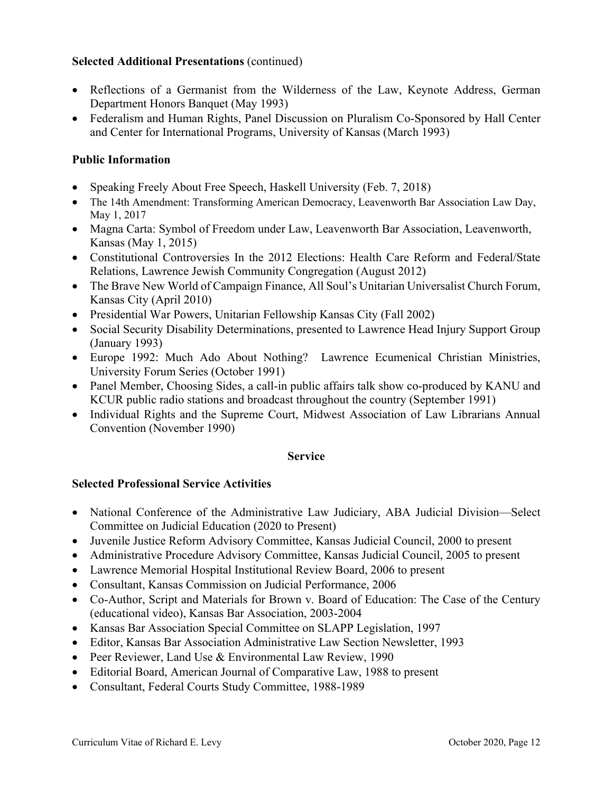## **Selected Additional Presentations** (continued)

- Reflections of a Germanist from the Wilderness of the Law, Keynote Address, German Department Honors Banquet (May 1993)
- Federalism and Human Rights, Panel Discussion on Pluralism Co-Sponsored by Hall Center and Center for International Programs, University of Kansas (March 1993)

# **Public Information**

- Speaking Freely About Free Speech, Haskell University (Feb. 7, 2018)
- The 14th Amendment: Transforming American Democracy, Leavenworth Bar Association Law Day, May 1, 2017
- Magna Carta: Symbol of Freedom under Law, Leavenworth Bar Association, Leavenworth, Kansas (May 1, 2015)
- Constitutional Controversies In the 2012 Elections: Health Care Reform and Federal/State Relations, Lawrence Jewish Community Congregation (August 2012)
- The Brave New World of Campaign Finance, All Soul's Unitarian Universalist Church Forum, Kansas City (April 2010)
- Presidential War Powers, Unitarian Fellowship Kansas City (Fall 2002)
- Social Security Disability Determinations, presented to Lawrence Head Injury Support Group (January 1993)
- Europe 1992: Much Ado About Nothing? Lawrence Ecumenical Christian Ministries, University Forum Series (October 1991)
- Panel Member, Choosing Sides, a call-in public affairs talk show co-produced by KANU and KCUR public radio stations and broadcast throughout the country (September 1991)
- Individual Rights and the Supreme Court, Midwest Association of Law Librarians Annual Convention (November 1990)

### **Service**

# **Selected Professional Service Activities**

- National Conference of the Administrative Law Judiciary, ABA Judicial Division—Select Committee on Judicial Education (2020 to Present)
- Juvenile Justice Reform Advisory Committee, Kansas Judicial Council, 2000 to present
- Administrative Procedure Advisory Committee, Kansas Judicial Council, 2005 to present
- Lawrence Memorial Hospital Institutional Review Board, 2006 to present
- Consultant, Kansas Commission on Judicial Performance, 2006
- Co-Author, Script and Materials for Brown v. Board of Education: The Case of the Century (educational video), Kansas Bar Association, 2003-2004
- Kansas Bar Association Special Committee on SLAPP Legislation, 1997
- Editor, Kansas Bar Association Administrative Law Section Newsletter, 1993
- Peer Reviewer, Land Use & Environmental Law Review, 1990
- Editorial Board, American Journal of Comparative Law, 1988 to present
- Consultant, Federal Courts Study Committee, 1988-1989